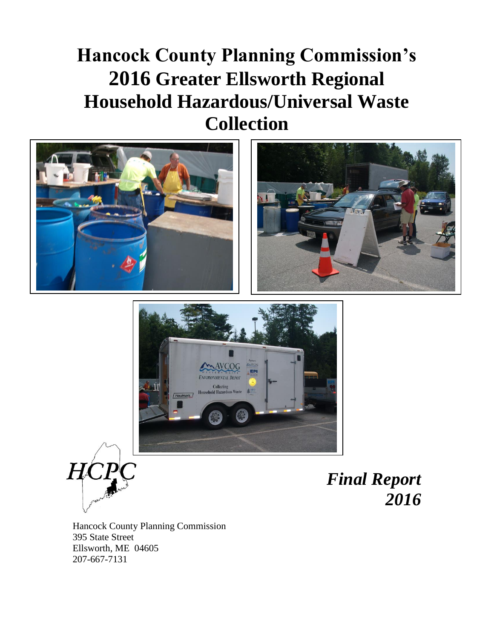# **Hancock County Planning Commission's 2016 Greater Ellsworth Regional Household Hazardous/Universal Waste Collection**









*Final Report 2016*

Hancock County Planning Commission 395 State Street Ellsworth, ME 04605 207-667-7131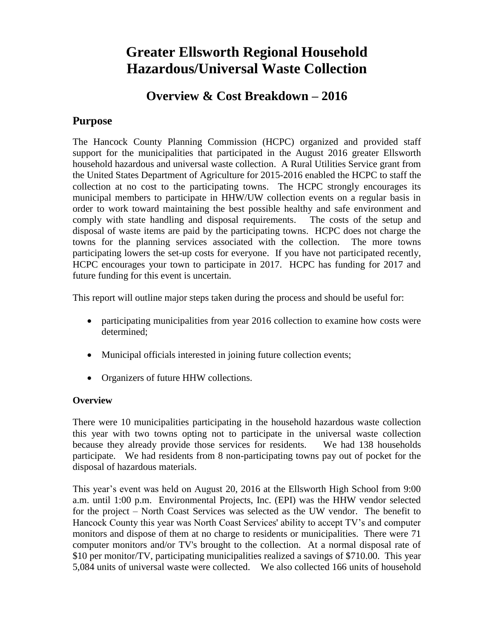## **Greater Ellsworth Regional Household Hazardous/Universal Waste Collection**

### **Overview & Cost Breakdown – 2016**

#### **Purpose**

The Hancock County Planning Commission (HCPC) organized and provided staff support for the municipalities that participated in the August 2016 greater Ellsworth household hazardous and universal waste collection. A Rural Utilities Service grant from the United States Department of Agriculture for 2015-2016 enabled the HCPC to staff the collection at no cost to the participating towns. The HCPC strongly encourages its municipal members to participate in HHW/UW collection events on a regular basis in order to work toward maintaining the best possible healthy and safe environment and comply with state handling and disposal requirements. The costs of the setup and disposal of waste items are paid by the participating towns. HCPC does not charge the towns for the planning services associated with the collection. The more towns participating lowers the set-up costs for everyone. If you have not participated recently, HCPC encourages your town to participate in 2017. HCPC has funding for 2017 and future funding for this event is uncertain.

This report will outline major steps taken during the process and should be useful for:

- participating municipalities from year 2016 collection to examine how costs were determined;
- Municipal officials interested in joining future collection events;
- Organizers of future HHW collections.

#### **Overview**

There were 10 municipalities participating in the household hazardous waste collection this year with two towns opting not to participate in the universal waste collection because they already provide those services for residents. We had 138 households participate. We had residents from 8 non-participating towns pay out of pocket for the disposal of hazardous materials.

This year's event was held on August 20, 2016 at the Ellsworth High School from 9:00 a.m. until 1:00 p.m. Environmental Projects, Inc. (EPI) was the HHW vendor selected for the project – North Coast Services was selected as the UW vendor. The benefit to Hancock County this year was North Coast Services' ability to accept TV's and computer monitors and dispose of them at no charge to residents or municipalities. There were 71 computer monitors and/or TV's brought to the collection. At a normal disposal rate of \$10 per monitor/TV, participating municipalities realized a savings of \$710.00. This year 5,084 units of universal waste were collected. We also collected 166 units of household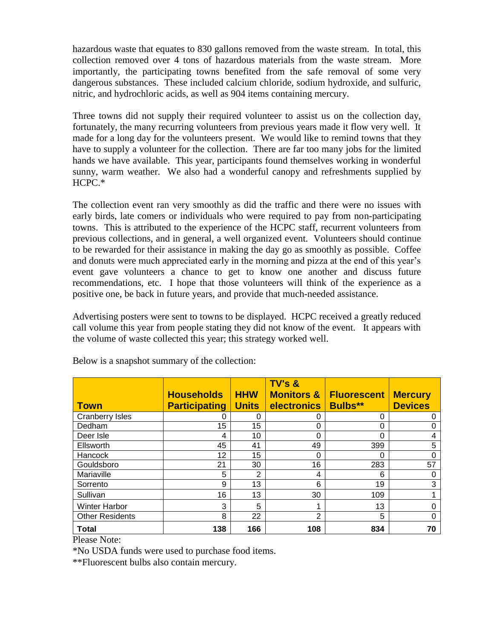hazardous waste that equates to 830 gallons removed from the waste stream. In total, this collection removed over 4 tons of hazardous materials from the waste stream. More importantly, the participating towns benefited from the safe removal of some very dangerous substances. These included calcium chloride, sodium hydroxide, and sulfuric, nitric, and hydrochloric acids, as well as 904 items containing mercury.

Three towns did not supply their required volunteer to assist us on the collection day, fortunately, the many recurring volunteers from previous years made it flow very well. It made for a long day for the volunteers present. We would like to remind towns that they have to supply a volunteer for the collection. There are far too many jobs for the limited hands we have available. This year, participants found themselves working in wonderful sunny, warm weather. We also had a wonderful canopy and refreshments supplied by HCPC.\*

The collection event ran very smoothly as did the traffic and there were no issues with early birds, late comers or individuals who were required to pay from non-participating towns. This is attributed to the experience of the HCPC staff, recurrent volunteers from previous collections, and in general, a well organized event. Volunteers should continue to be rewarded for their assistance in making the day go as smoothly as possible. Coffee and donuts were much appreciated early in the morning and pizza at the end of this year's event gave volunteers a chance to get to know one another and discuss future recommendations, etc. I hope that those volunteers will think of the experience as a positive one, be back in future years, and provide that much-needed assistance.

Advertising posters were sent to towns to be displayed. HCPC received a greatly reduced call volume this year from people stating they did not know of the event. It appears with the volume of waste collected this year; this strategy worked well.

| <b>Town</b>                           | <b>Households</b><br><b>Participating</b> | <b>HHW</b><br><b>Units</b> | TV's &<br><b>Monitors &amp;</b><br><b>electronics</b> | <b>Fluorescent</b><br><b>Bulbs**</b> | <b>Mercury</b><br><b>Devices</b> |
|---------------------------------------|-------------------------------------------|----------------------------|-------------------------------------------------------|--------------------------------------|----------------------------------|
| <b>Cranberry Isles</b>                | O                                         | 0                          | O                                                     | 0                                    | 0                                |
| Dedham                                | 15                                        | 15                         | 0                                                     | 0                                    | 0                                |
| Deer Isle                             | 4                                         | 10                         | 0                                                     | 0                                    | 4                                |
| Ellsworth                             | 45                                        | 41                         | 49                                                    | 399                                  | 5                                |
| <b>Hancock</b>                        | 12                                        | 15                         | 0                                                     | $\Omega$                             | 0                                |
| Gouldsboro                            | 21                                        | 30                         | 16                                                    | 283                                  | 57                               |
| Mariaville                            | 5                                         | $\overline{2}$             | 4                                                     | 6                                    | 0                                |
| Sorrento                              | 9                                         | 13                         | 6                                                     | 19                                   | 3                                |
| Sullivan                              | 16                                        | 13                         | 30                                                    | 109                                  |                                  |
| <b>Winter Harbor</b>                  | 3                                         | 5                          | 1                                                     | 13                                   | 0                                |
| <b>Other Residents</b>                | 8                                         | 22                         | $\overline{2}$                                        | 5                                    | 0                                |
| <b>Total</b><br>$-1$<br>$\sim$ $\sim$ | 138                                       | 166                        | 108                                                   | 834                                  | 70                               |

Below is a snapshot summary of the collection:

Please Note:

\*No USDA funds were used to purchase food items.

\*\*Fluorescent bulbs also contain mercury.